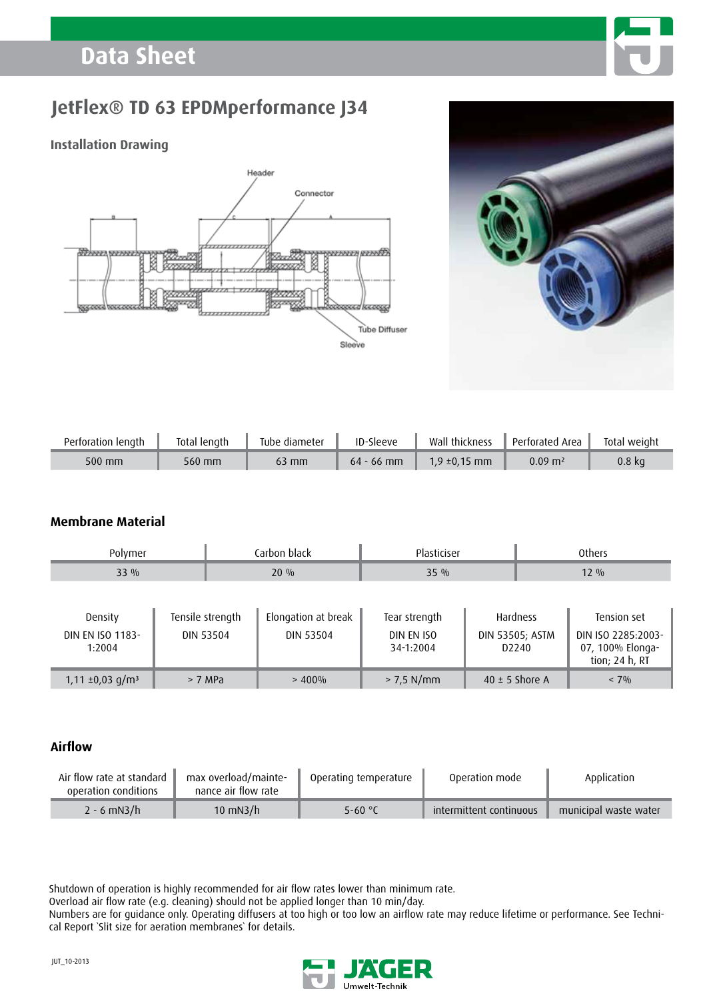# **Data Sheet**



### **Installation Drawing**





| Perforation length | Total length | Tube diameter | ID-Sleeve    | Wall thickness    | Perforated Area       | Total weight |
|--------------------|--------------|---------------|--------------|-------------------|-----------------------|--------------|
| $500$ mm           | 560 mm       | 63 mm         | $64 - 66$ mm | $1.9 \pm 0.15$ mm | $0.09\; \mathrm{m}^2$ | 0.8 ka       |

### **Membrane Material**

| Polymer                                      |  | Carbon black                         |                                         | Plasticiser                              |  | <b>Others</b>                                           |                                                                         |  |
|----------------------------------------------|--|--------------------------------------|-----------------------------------------|------------------------------------------|--|---------------------------------------------------------|-------------------------------------------------------------------------|--|
| $33\%$                                       |  | $20\%$                               |                                         | $35\%$                                   |  | $12\%$                                                  |                                                                         |  |
| Density<br><b>DIN EN ISO 1183-</b><br>1:2004 |  | Tensile strength<br><b>DIN 53504</b> | Elongation at break<br><b>DIN 53504</b> | Tear strength<br>DIN EN ISO<br>34-1:2004 |  | Hardness<br><b>DIN 53505; ASTM</b><br>D <sub>2240</sub> | Tension set<br>DIN ISO 2285:2003-<br>07, 100% Elonga-<br>tion; 24 h, RT |  |
| $1,11 \pm 0,03$ g/m <sup>3</sup>             |  | > 7 MPa                              | $> 400\%$                               | $> 7.5$ N/mm                             |  | 40 $\pm$ 5 Shore A                                      | $< 7\%$                                                                 |  |

### **Airflow**

| Air flow rate at standard<br>operation conditions | max overload/mainte-<br>nance air flow rate | Operating temperature | Operation mode          | Application           |
|---------------------------------------------------|---------------------------------------------|-----------------------|-------------------------|-----------------------|
| $2 - 6$ mN3/h                                     | $10 \text{ mN}$ 3/h                         | 5-60 $\degree$ C      | intermittent continuous | municipal waste water |

Shutdown of operation is highly recommended for air flow rates lower than minimum rate.

Overload air flow rate (e.g. cleaning) should not be applied longer than 10 min/day.

Numbers are for guidance only. Operating diffusers at too high or too low an airflow rate may reduce lifetime or performance. See Technical Report `Slit size for aeration membranes` for details.